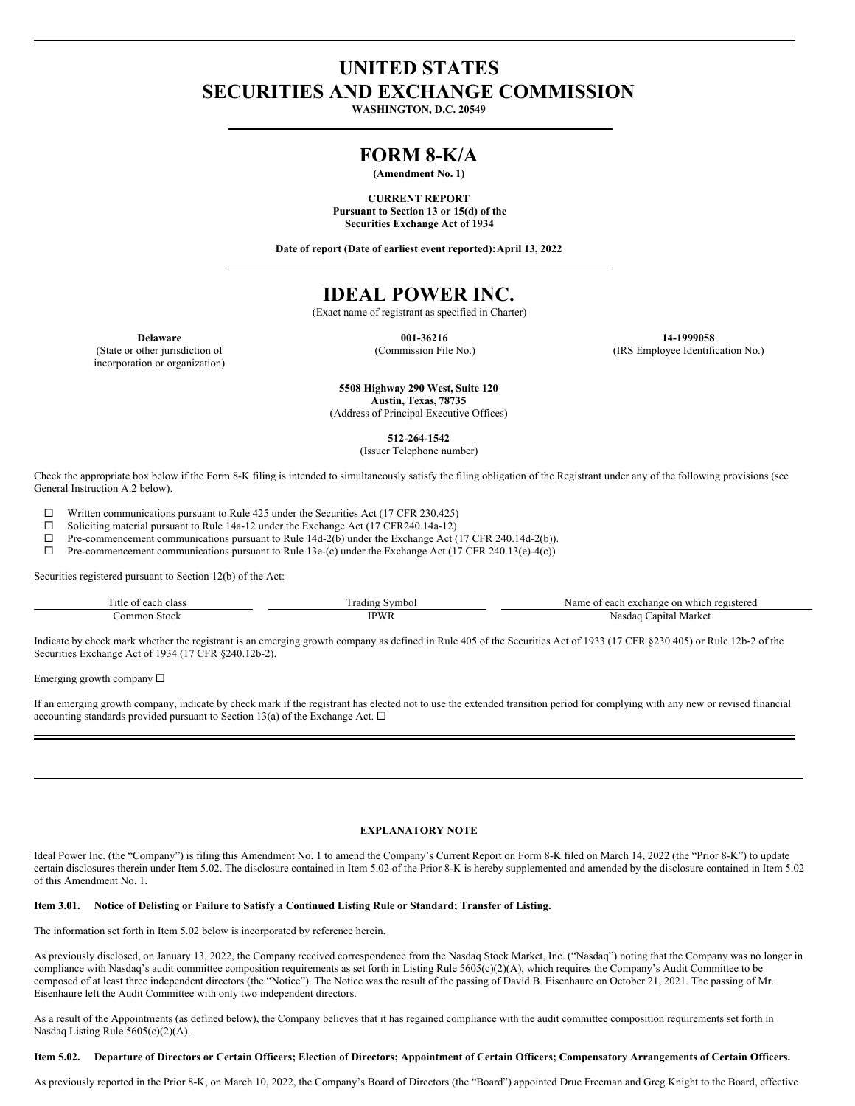# **UNITED STATES SECURITIES AND EXCHANGE COMMISSION**

**WASHINGTON, D.C. 20549**

# **FORM 8-K/A**

**(Amendment No. 1)**

**CURRENT REPORT Pursuant to Section 13 or 15(d) of the Securities Exchange Act of 1934**

**Date of report (Date of earliest event reported):April 13, 2022**

# **IDEAL POWER INC.**

(Exact name of registrant as specified in Charter)

(State or other jurisdiction of incorporation or organization)

**Delaware 001-36216 14-1999058** (Commission File No.) (IRS Employee Identification No.)

> **5508 Highway 290 West, Suite 120 Austin, Texas, 78735**

(Address of Principal Executive Offices)

**512-264-1542**

(Issuer Telephone number)

Check the appropriate box below if the Form 8-K filing is intended to simultaneously satisfy the filing obligation of the Registrant under any of the following provisions (see General Instruction A.2 below).

 $\Box$  Written communications pursuant to Rule 425 under the Securities Act (17 CFR 230.425)

<p>\n 2 Soliciting material pursuit to Rule 14a-12 under the Exchange Act (17 CFR240.14a-12) \n 1 Pre-component communications pursuit to Rule 14d-2(b) under the Exchange Act (</p>

Pre-commencement communications pursuant to Rule 14d-2(b) under the Exchange Act (17 CFR 240.14d-2(b)).

 $\Box$  Pre-commencement communications pursuant to Rule 13e-(c) under the Exchange Act (17 CFR 240.13(e)-4(c))

Securities registered pursuant to Section 12(b) of the Act:

| `itle<br>ے والی ک<br>^^^^<br>$\sim$ | Nvmb∈<br>rading             | egistered<br>. which<br>exchange<br>$\sim$ $\sim$ $\sim$<br>$\sim$<br>.me<br>Nź<br>$\cdots$<br><b>COL</b> |
|-------------------------------------|-----------------------------|-----------------------------------------------------------------------------------------------------------|
| omm<br>Stock                        | <b>TDWL</b><br><b>YY 1\</b> | Morket<br>anıtal<br>Nasdag<br>лианке<br>.                                                                 |

Indicate by check mark whether the registrant is an emerging growth company as defined in Rule 405 of the Securities Act of 1933 (17 CFR §230.405) or Rule 12b-2 of the Securities Exchange Act of 1934 (17 CFR §240.12b-2).

Emerging growth company  $\Box$ 

If an emerging growth company, indicate by check mark if the registrant has elected not to use the extended transition period for complying with any new or revised financial accounting standards provided pursuant to Section 13(a) of the Exchange Act.  $\Box$ 

## **EXPLANATORY NOTE**

Ideal Power Inc. (the "Company") is filing this Amendment No. 1 to amend the Company's Current Report on Form 8-K filed on March 14, 2022 (the "Prior 8-K") to update certain disclosures therein under Item 5.02. The disclosure contained in Item 5.02 of the Prior 8-K is hereby supplemented and amended by the disclosure contained in Item 5.02 of this Amendment No. 1.

### Item 3.01. Notice of Delisting or Failure to Satisfy a Continued Listing Rule or Standard; Transfer of Listing.

The information set forth in Item 5.02 below is incorporated by reference herein.

As previously disclosed, on January 13, 2022, the Company received correspondence from the Nasdaq Stock Market, Inc. ("Nasdaq") noting that the Company was no longer in compliance with Nasdaq's audit committee composition requirements as set forth in Listing Rule 5605(c)(2)(A), which requires the Company's Audit Committee to be composed of at least three independent directors (the "Notice"). The Notice was the result of the passing of David B. Eisenhaure on October 21, 2021. The passing of Mr. Eisenhaure left the Audit Committee with only two independent directors.

As a result of the Appointments (as defined below), the Company believes that it has regained compliance with the audit committee composition requirements set forth in Nasdaq Listing Rule 5605(c)(2)(A).

### Item 5.02. Departure of Directors or Certain Officers; Election of Directors; Appointment of Certain Officers; Compensatory Arrangements of Certain Officers.

As previously reported in the Prior 8-K, on March 10, 2022, the Company's Board of Directors (the "Board") appointed Drue Freeman and Greg Knight to the Board, effective